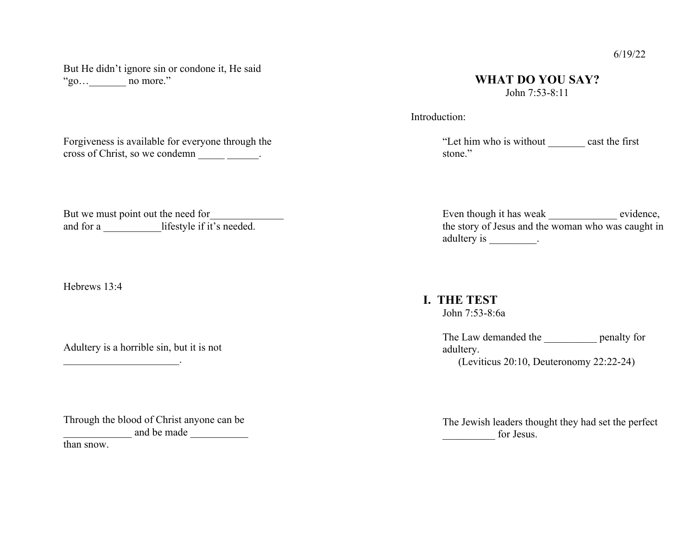But He didn't ignore sin or condone it, He said "go…\_\_\_\_\_\_\_ no more."

## **WHAT DO YOU SAY?** John 7:53-8:11

Introduction:

"Let him who is without \_\_\_\_\_\_\_ cast the first stone."

But we must point out the need for and for a \_\_\_\_\_\_\_\_\_\_\_\_lifestyle if it's needed.

Forgiveness is available for everyone through the cross of Christ, so we condemn \_\_\_\_\_\_\_\_\_.

Hebrews 13:4

Adultery is a horrible sin, but it is not

 $\overline{\phantom{a}}$  , where  $\overline{\phantom{a}}$  , where  $\overline{\phantom{a}}$  ,  $\overline{\phantom{a}}$  ,  $\overline{\phantom{a}}$  ,  $\overline{\phantom{a}}$  ,  $\overline{\phantom{a}}$  ,  $\overline{\phantom{a}}$  ,  $\overline{\phantom{a}}$  ,  $\overline{\phantom{a}}$  ,  $\overline{\phantom{a}}$  ,  $\overline{\phantom{a}}$  ,  $\overline{\phantom{a}}$  ,  $\overline{\phantom{a}}$  ,  $\overline{\phantom{a}}$  ,

Through the blood of Christ anyone can be and be made

than snow.

Even though it has weak \_\_\_\_\_\_\_\_\_\_\_\_\_\_\_\_\_ evidence, the story of Jesus and the woman who was caught in adultery is \_\_\_\_\_\_\_\_\_.

 **I. THE TEST** John 7:53-8:6a

> The Law demanded the penalty for adultery. (Leviticus 20:10, Deuteronomy 22:22-24)

The Jewish leaders thought they had set the perfect \_\_\_\_\_\_\_\_\_\_ for Jesus.

## 6/19/22